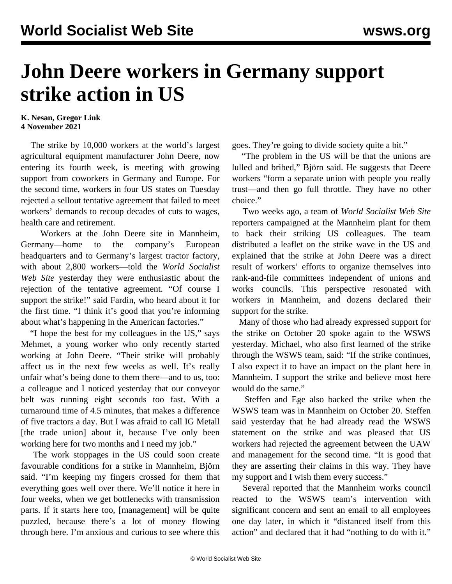## **John Deere workers in Germany support strike action in US**

## **K. Nesan, Gregor Link 4 November 2021**

 The strike by 10,000 workers at the world's largest agricultural equipment manufacturer John Deere, now entering its fourth week, is meeting with growing support from coworkers in Germany and Europe. For the second time, workers in four US states on Tuesday rejected a sellout tentative agreement that failed to meet workers' demands to recoup decades of cuts to wages, health care and retirement.

 Workers at the John Deere site in Mannheim, Germany—home to the company's European headquarters and to Germany's largest tractor factory, with about 2,800 workers—told the *World Socialist Web Site* yesterday they were enthusiastic about the rejection of the tentative agreement. "Of course I support the strike!" said Fardin, who heard about it for the first time. "I think it's good that you're informing about what's happening in the American factories."

 "I hope the best for my colleagues in the US," says Mehmet, a young worker who only recently started working at John Deere. "Their strike will probably affect us in the next few weeks as well. It's really unfair what's being done to them there—and to us, too: a colleague and I noticed yesterday that our conveyor belt was running eight seconds too fast. With a turnaround time of 4.5 minutes, that makes a difference of five tractors a day. But I was afraid to call IG Metall [the trade union] about it, because I've only been working here for two months and I need my job."

 The work stoppages in the US could soon create favourable conditions for a strike in Mannheim, Björn said. "I'm keeping my fingers crossed for them that everything goes well over there. We'll notice it here in four weeks, when we get bottlenecks with transmission parts. If it starts here too, [management] will be quite puzzled, because there's a lot of money flowing through here. I'm anxious and curious to see where this

goes. They're going to divide society quite a bit."

 "The problem in the US will be that the unions are lulled and bribed," Björn said. He suggests that Deere workers "form a separate union with people you really trust—and then go full throttle. They have no other choice."

 Two weeks ago, a team of *World Socialist Web Site* reporters campaigned at the Mannheim plant for them to back their striking US colleagues. The team distributed a [leaflet](/en/articles/2021/10/14/pers-o14.html) on the strike wave in the US and explained that the strike at John Deere was a direct result of workers' efforts to organize themselves into rank-and-file committees independent of unions and works councils. This perspective resonated with workers in Mannheim, and dozens declared their support for the strike.

 Many of those who had already expressed support for the strike on October 20 spoke again to the WSWS yesterday. Michael, who also first learned of the strike through the WSWS team, said: "If the strike continues, I also expect it to have an impact on the plant here in Mannheim. I support the strike and believe most here would do the same."

 Steffen and Ege also backed the strike when the WSWS team was in Mannheim on October 20. Steffen said yesterday that he had already read the WSWS statement on the strike and was pleased that US workers had rejected the agreement between the UAW and management for the second time. "It is good that they are asserting their claims in this way. They have my support and I wish them every success."

 Several reported that the Mannheim works council reacted to the WSWS team's intervention with significant concern and sent an email to all employees one day later, in which it "distanced itself from this action" and declared that it had "nothing to do with it."